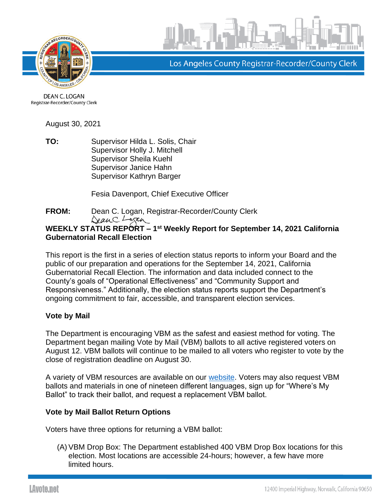



Los Angeles County Registrar-Recorder/County Clerk

DEAN C. LOGAN Registrar-Recorder/County Clerk

August 30, 2021

**TO:** Supervisor Hilda L. Solis, Chair Supervisor Holly J. Mitchell Supervisor Sheila Kuehl Supervisor Janice Hahn Supervisor Kathryn Barger

Fesia Davenport, Chief Executive Officer

**FROM:** Dean C. Logan, Registrar-Recorder/County Clerk DeanC. Logan

# **WEEKLY STATUS REPORT – 1 st Weekly Report for September 14, 2021 California Gubernatorial Recall Election**

This report is the first in a series of election status reports to inform your Board and the public of our preparation and operations for the September 14, 2021, California Gubernatorial Recall Election. The information and data included connect to the County's goals of "Operational Effectiveness" and "Community Support and Responsiveness." Additionally, the election status reports support the Department's ongoing commitment to fair, accessible, and transparent election services.

# **Vote by Mail**

The Department is encouraging VBM as the safest and easiest method for voting. The Department began mailing Vote by Mail (VBM) ballots to all active registered voters on August 12. VBM ballots will continue to be mailed to all voters who register to vote by the close of registration deadline on August 30.

A variety of VBM resources are available on our [website.](https://lavote.net/home/voting-elections/voting-options/vote-by-mail/how-to-vote-by-mail) Voters may also request VBM ballots and materials in one of nineteen different languages, sign up for "Where's My Ballot" to track their ballot, and request a replacement VBM ballot.

# **Vote by Mail Ballot Return Options**

Voters have three options for returning a VBM ballot:

(A)VBM Drop Box: The Department established 400 VBM Drop Box locations for this election. Most locations are accessible 24-hours; however, a few have more limited hours.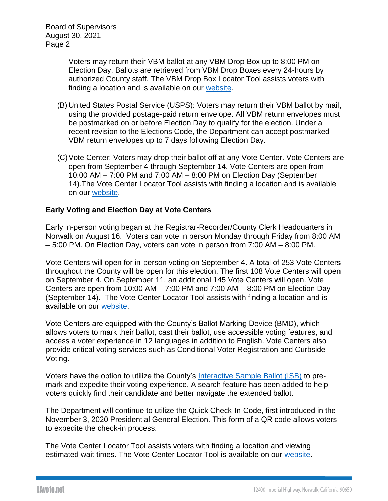Board of Supervisors August 30, 2021 Page 2

> Voters may return their VBM ballot at any VBM Drop Box up to 8:00 PM on Election Day. Ballots are retrieved from VBM Drop Boxes every 24-hours by authorized County staff. The VBM Drop Box Locator Tool assists voters with finding a location and is available on our [website.](https://locator.lavote.net/locations/vbm?id=4278&culture=en)

- (B) United States Postal Service (USPS): Voters may return their VBM ballot by mail, using the provided postage-paid return envelope. All VBM return envelopes must be postmarked on or before Election Day to qualify for the election. Under a recent revision to the Elections Code, the Department can accept postmarked VBM return envelopes up to 7 days following Election Day.
- (C)Vote Center: Voters may drop their ballot off at any Vote Center. Vote Centers are open from September 4 through September 14. Vote Centers are open from 10:00 AM – 7:00 PM and 7:00 AM – 8:00 PM on Election Day (September 14).The Vote Center Locator Tool assists with finding a location and is available on our [website.](https://locator.lavote.net/locations/vc?id=4278&culture=en)

# **Early Voting and Election Day at Vote Centers**

Early in-person voting began at the Registrar-Recorder/County Clerk Headquarters in Norwalk on August 16. Voters can vote in person Monday through Friday from 8:00 AM – 5:00 PM. On Election Day, voters can vote in person from 7:00 AM – 8:00 PM.

Vote Centers will open for in-person voting on September 4. A total of 253 Vote Centers throughout the County will be open for this election. The first 108 Vote Centers will open on September 4. On September 11, an additional 145 Vote Centers will open. Vote Centers are open from 10:00 AM – 7:00 PM and 7:00 AM – 8:00 PM on Election Day (September 14). The Vote Center Locator Tool assists with finding a location and is available on our [website.](https://locator.lavote.net/locations/vc?id=4278&culture=en)

Vote Centers are equipped with the County's Ballot Marking Device (BMD), which allows voters to mark their ballot, cast their ballot, use accessible voting features, and access a voter experience in 12 languages in addition to English. Vote Centers also provide critical voting services such as Conditional Voter Registration and Curbside Voting.

Voters have the option to utilize the County's [Interactive Sample Ballot \(ISB\)](https://www.lavote.net/isb) to premark and expedite their voting experience. A search feature has been added to help voters quickly find their candidate and better navigate the extended ballot.

The Department will continue to utilize the Quick Check-In Code, first introduced in the November 3, 2020 Presidential General Election. This form of a QR code allows voters to expedite the check-in process.

The Vote Center Locator Tool assists voters with finding a location and viewing estimated wait times. The Vote Center Locator Tool is available on our [website.](https://locator.lavote.net/locations/vc?id=4278&culture=en)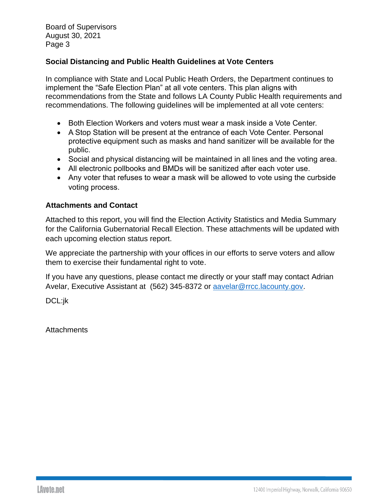Board of Supervisors August 30, 2021 Page 3

# **Social Distancing and Public Health Guidelines at Vote Centers**

In compliance with State and Local Public Heath Orders, the Department continues to implement the "Safe Election Plan" at all vote centers. This plan aligns with recommendations from the State and follows LA County Public Health requirements and recommendations. The following guidelines will be implemented at all vote centers:

- Both Flection Workers and voters must wear a mask inside a Vote Center.
- A Stop Station will be present at the entrance of each Vote Center. Personal protective equipment such as masks and hand sanitizer will be available for the public.
- Social and physical distancing will be maintained in all lines and the voting area.
- All electronic pollbooks and BMDs will be sanitized after each voter use.
- Any voter that refuses to wear a mask will be allowed to vote using the curbside voting process.

## **Attachments and Contact**

Attached to this report, you will find the Election Activity Statistics and Media Summary for the California Gubernatorial Recall Election. These attachments will be updated with each upcoming election status report.

We appreciate the partnership with your offices in our efforts to serve voters and allow them to exercise their fundamental right to vote.

If you have any questions, please contact me directly or your staff may contact Adrian Avelar, Executive Assistant at (562) 345-8372 or [aavelar@rrcc.lacounty.gov.](mailto:aavelar@rrcc.lacounty.gov)

DCL:jk

**Attachments**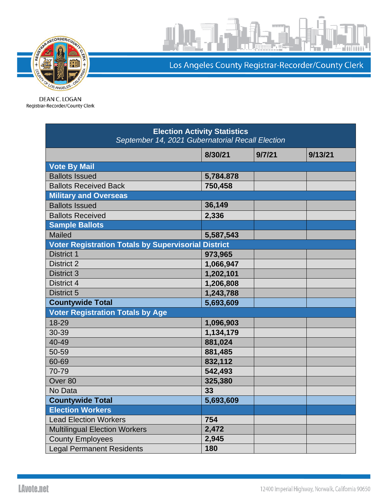

Los Angeles County Registrar-Recorder/County Clerk

DEAN C. LOGAN Registrar-Recorder/County Clerk

| <b>Election Activity Statistics</b><br>September 14, 2021 Gubernatorial Recall Election |           |        |         |  |
|-----------------------------------------------------------------------------------------|-----------|--------|---------|--|
|                                                                                         | 8/30/21   | 9/7/21 | 9/13/21 |  |
| <b>Vote By Mail</b>                                                                     |           |        |         |  |
| <b>Ballots Issued</b>                                                                   | 5,784.878 |        |         |  |
| <b>Ballots Received Back</b>                                                            | 750,458   |        |         |  |
| <b>Military and Overseas</b>                                                            |           |        |         |  |
| <b>Ballots Issued</b>                                                                   | 36,149    |        |         |  |
| <b>Ballots Received</b>                                                                 | 2,336     |        |         |  |
| <b>Sample Ballots</b>                                                                   |           |        |         |  |
| Mailed                                                                                  | 5,587,543 |        |         |  |
| <b>Voter Registration Totals by Supervisorial District</b>                              |           |        |         |  |
| District 1                                                                              | 973,965   |        |         |  |
| <b>District 2</b>                                                                       | 1,066,947 |        |         |  |
| <b>District 3</b>                                                                       | 1,202,101 |        |         |  |
| District 4                                                                              | 1,206,808 |        |         |  |
| District 5                                                                              | 1,243,788 |        |         |  |
| <b>Countywide Total</b>                                                                 | 5,693,609 |        |         |  |
| <b>Voter Registration Totals by Age</b>                                                 |           |        |         |  |
| 18-29                                                                                   | 1,096,903 |        |         |  |
| 30-39                                                                                   | 1,134,179 |        |         |  |
| 40-49                                                                                   | 881,024   |        |         |  |
| 50-59                                                                                   | 881,485   |        |         |  |
| 60-69                                                                                   | 832,112   |        |         |  |
| 70-79                                                                                   | 542,493   |        |         |  |
| Over <sub>80</sub>                                                                      | 325,380   |        |         |  |
| No Data                                                                                 | 33        |        |         |  |
| <b>Countywide Total</b>                                                                 | 5,693,609 |        |         |  |
| <b>Election Workers</b>                                                                 |           |        |         |  |
| <b>Lead Election Workers</b>                                                            | 754       |        |         |  |
| <b>Multilingual Election Workers</b>                                                    | 2,472     |        |         |  |
| <b>County Employees</b>                                                                 | 2,945     |        |         |  |
| <b>Legal Permanent Residents</b>                                                        | 180       |        |         |  |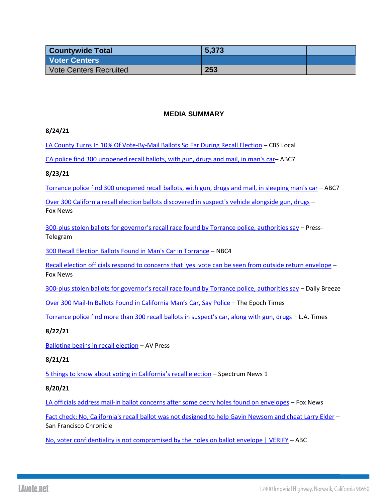| <b>Countywide Total</b>       | 5,373 |  |
|-------------------------------|-------|--|
| <b>Voter Centers</b>          |       |  |
| <b>Vote Centers Recruited</b> | 253   |  |

## **MEDIA SUMMARY**

### **8/24/21**

[LA County Turns In 10% Of Vote-By-Mail Ballots So Far During Recall Election](https://losangeles.cbslocal.com/2021/08/24/la-county-turns-in-10-of-vote-by-mail-ballots-so-far-during-recall-election/?taid=6125880cced6e00001766f67&&taid=6125880cced6e00001766f67&utm_campaign=true_anthem&utm_medium=twitter&utm_source=social&__twitter_impression=true) – CBS Local

[CA police find 300 unopened recall ballots, with gun, drugs and mail, in man's car](https://abc30.com/recall-election-stolen-ballots-vote-by-mail-torrance-police/10971293/)– ABC7

### **8/23/21**

[Torrance police find 300 unopened recall ballots, with gun, drugs and mail, in sleeping man's car](https://abc7.com/recall-election-stolen-ballots-vote-by-mail-torrance-police/10969902/) – ABC7

[Over 300 California recall election ballots discovered in suspect's vehicle alongside gun, drugs](https://www.foxla.com/news/over-300-california-recall-election-ballots-discovered-in-suspects-vehicle-alongside-gun-drugs?taid=61242f81eb3353000173a9b9&utm_campaign=trueanthem&utm_medium=trueanthem&utm_source=twitter) – Fox News

300-plus stolen ballots for g[overnor's recall race found by Torrance police, authorities say](https://www.presstelegram.com/2021/08/23/300-plus-stolen-ballots-for-governors-race-found-by-torrance-police-authorities-say/) – Press-Telegram

[300 Recall Election Ballots Found in Man's Car in Torrance](https://www.nbclosangeles.com/news/local/300-recall-election-ballots-found-in-mans-car-in-torrance/2678071/) – NBC4

[Recall election officials respond to concerns that 'yes' vote can be seen from outside return envelope](https://www.foxla.com/news/recall-election-officials-respond-to-concens-that-yes-vote-can-be-seen-from-outside-return-envelope) – Fox News

300-[plus stolen ballots for governor's recall race found by Torrance police, authorities say](https://www.dailybreeze.com/2021/08/23/300-plus-stolen-ballots-for-governors-race-found-by-torrance-police-authorities-say/) – Daily Breeze

Over 300 Mail-[In Ballots Found in California Man's Car, Say Police](https://www.theepochtimes.com/over-300-mail-in-ballots-found-in-california-mans-car-say-police_3961544.html) – The Epoch Times

[Torrance police find more than 300 recall ballots in suspect's car, along with gun, drugs](https://www.latimes.com/california/story/2021-08-23/torrance-police-find-more-than-300-ballots-in-suspects-car-along-with-gun-drugs) – L.A. Times

### **8/22/21**

[Balloting begins in recall election](https://www.avpress.com/news/balloting-begins-in-recall-election/article_f0b14ea0-02f1-11ec-9879-278636016969.htmlhttps:/www.avpress.com/news/balloting-begins-in-recall-election/article_f0b14ea0-02f1-11ec-9879-278636016969.html) – AV Press

### **8/21/21**

[5 things to know about voting in California's r](https://spectrumnews1.com/ca/san-fernando-valley-ventura/inside-the-issues/2021/08/20/5-things-to-know-about-voting-in-california-s-recall-election)ecall election – Spectrum News 1

### **8/20/21**

[LA officials address mail-in ballot concerns after some decry holes found on envelopes](https://www.foxnews.com/politics/la-officials-concerns-voter-fraud-mail-in-ballots-holes-recall) – Fox News

[Fact check: No, California's recall ballot was not designed to help Gavin Newsom and cheat Larry Elder](https://www.sfchronicle.com/politics/article/Fact-check-No-California-s-recall-ballot-was-16401416.php) – San Francisco Chronicle

[No, voter confidentiality is not compromised by the holes on ballot envelope | VERIFY](https://www.abc10.com/article/news/verify/voter-confidentiality-not-compromised-holes-ballot/103-f98f13ac-9570-4054-8933-919cc9cb0929) – ABC